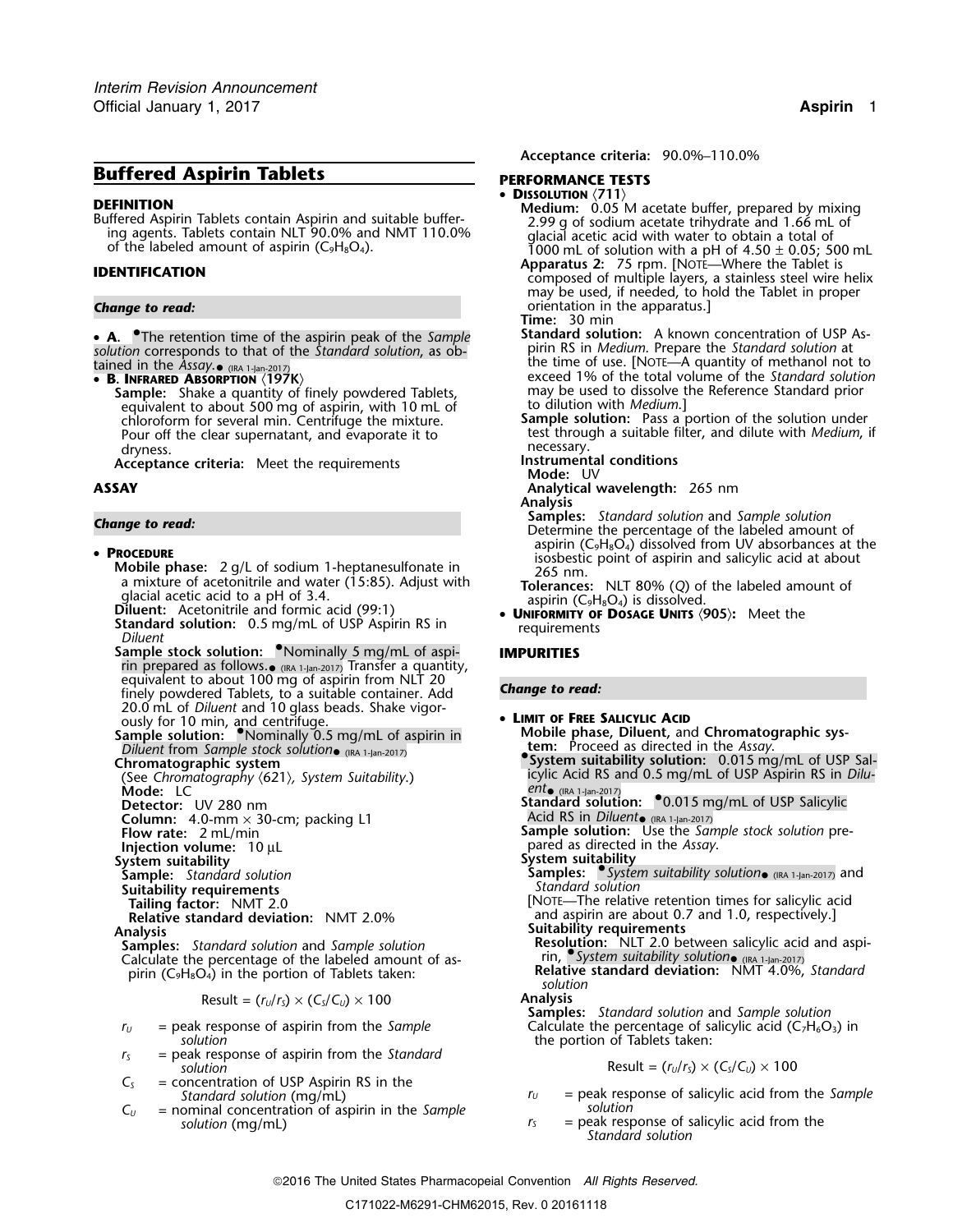# **Buffered Aspirin Tablets PERFORMANCE TESTS**

• **A.** The retention time of the aspirin peak of the *Sample* **Standard solution:** A known concentration of USP As<sup>p</sup>irin RS in *Medium*. Prepare the *Standard solution* at *solution* corresponds to that of the *Standard solution*, as ob-

LAILIEU III LITE ASSUY. (IRA 1-Jan-2017)<br>• R INFRARED ARSORPTION (197

**Sample:** Shake a quantity of finely powdered Tablets, a standard prior used to dissolve the equivalent to about 500 mg of aspiring with 10 mL of the Reference Standard prior Shake a quantity of the equivalent to about 500 equivalent to about 500 mg of aspirin, with 10 mL of chloroform for several min. Centrifuge the mixture. dryness. **necessary.** The critical contract of the critical contract of the critical contract of the critical contract of the critical contract of the critical contract of the critical contract of the critical contract of

**Acceptance criteria: Instrumental conditions** Meet the requirements **Mode:** UV

• **PROCEDURE**<br>
Mobile phase:  $2 g/L$  of sodium 1-heptanesulfonate in<br>
a mixture of acetonitrile and water (15:85). Adjust with<br>
glacial acetic acid to a pH of 3.4.<br> **Diluent:** Acetonitrile and formic acid (99:1)<br> **EXECUTE:** 

- 
- **Sample stock solution:** Nominally 5 mg/mL of aspi- **IMPURITIES** rin prepared as follows. $_{\bullet}$  <sub>(IRA 1-Jan-2017)</sub> Transfer a quantity, equivalent to about 100 mg of aspirin from NLT 20 *Change to read:* finely powdered Tablets, to a suitable container. Add 20.0 mL of *Diluent* and 10 glass beads. Shake vigorously for 10 min, and centrifuge. • **<sup>L</sup>IMIT OF FREE SALICYLIC ACID**

**Sample solution:**  $\blacksquare$  **Nominally 0.5 mg/mL of aspirin in**  $\blacksquare$  **. Mobile phase, Diluent, and Chromatographic sys-***Diluent* from *Sample stock solution*• (IRA 1-Jan-2017)<br> **Chromatographic system** suitability solution: 0.015 mg/mL of USP Sal-<br> **Chromatographic system** Diluent from Sample stock solution  $_{\text{QIRA 1-jan-2017}}$ 

**Mode:** LC<br>**Detector:** UV 280 nm

**Column:** 4.0-mm × 30-cm; packing L1 **Flow rate:** 2 mL/min

**System suitability<br>
Sample:** Standard solution

**Suitability requirements<br>Tailing factor: NMT 2.0** 

Calculate the percentage of the labeled amount of as- rin, *System suitability solution*• (IRA 1-Jan-2017) <sup>p</sup>irin (C **Relative standard deviation:** NMT 4.0%, *Standard* <sup>9</sup>H8O4) in the portion of Tablets taken: *solution*

Result = 
$$
(r_U/r_S) \times (C_S/C_U) \times 100
$$
 Analysis

- **solution** the portion of Tablets taken:
- *<sup>r</sup><sup>S</sup>* = peak response of aspirin from the *Standard solution* Result =  $(r_u/r_s) \times (C_s/C_u) \times 100$
- $C<sub>S</sub>$  = concentration of USP Aspirin RS in the *Standard solution* (mg/mL)
- $C_U$  = nominal concentration of aspirin in the *Sample*<br>*Solution* (mg/ml) *solution* (mg/mL)  $r_s$  = peak response of salicylic acid from the

**Acceptance criteria:** 90.0%–110.0%

- •
- **DISSOLUTION**<br>
Buffered Aspirin Tablets contain Aspirin and suitable buffer-<br>
Buffered Aspirin Tablets contain Aspirin and suitable buffer-<br>
ing agents. Tablets contain NLT 90.0% and NMT 110.0%<br>
of the labeled amount of a
- **Apparatus 2:** 75 rpm. [NOTE—Where the Tablet is **IDENTIFICATION** composed of multiple layers, a stainless steel wire helix may be used, if needed, to hold the Tablet in proper **Change to read: Change to read: orientation** in the apparatus.]
	- **Time:** 30 min
	- the time of use. [NOTE—A quantity of methanol not to **B** exceed 1% of the total volume of the *Standard solution* may be used to dissolve the Reference Standard prior
	- chloroform for several min. Centrifuge the mixture. **Sample solution:** Pass a portion of the solution under Pour off the clear supernatant, and evaporate it to test through a suitable filter, and dilute with *Medium*, if
		-
		-
- **ASSAY Analytical wavelength:** 265 nm
- **Analysis**<br>Samples: Standard solution and Sample solution **Samples:** *Standard solution* and *Sample solution Change to read:* Determine the percentage of the labeled amount of **PROCEDURE**<br>aspirin (C<sub>9</sub>H<sub>8</sub>O<sub>4</sub>) dissolved from UV absorbances at the •<br>isosbestic point of aspirin and salicylic acid at about
	-
	- **Diluent:** Acetonitrile and formic acid (99:1)<br> **Standard solution:** 0.5 mg/mL of USP Aspirin RS in requirements *POSAGE UNITS* (905): Meet the *requirements*

- **ical Report Acid RS and 0.5 mg/mL of USP Sal-<br>Chromatography (621), System Suitability.) Changles Acid RS and 0.5 mg/mL of USP Aspirin RS in** *Dilu-***<br>Chromatography (621), System Suitability.)**
- (IRA 1-Jan-2017) **Detector:** UV 280 nm **Standard solution:** •.0.015 mg/mL of USP Salicylic

Flow Rate: **Flow rate: Flow rate: Sample solution:** Use the *Sample stock solution* pre**pared as directed in the** *Assay***.**<br> **Injection volume:** 10 µL<br> **Injection volume:** 10 µL<br> **System suitability** 

**Samples:** • *System suitability solution* (IRA 1-Jan-2017) and *Standard solution* 

**Tailing factor:** NMT 2.0 [NOTE—The relative retention times for salicylic acid<br>Relative standard deviation: NMT 2.0% [NOTE\_The relative retention times for salicylic acid<br>and aspirin are about 0.7 and 1.0, respectively.] and aspirin are about 0.7 and 1.0, respectively.] **Analysis Suitability requirements**

**Samples:** *Standard solution* and *Sample solution*: **Resolution:** NLT 2.0 between salicylic acid and aspi-

**Samples:** *Standard solution* and *Sample solution*  $r_U$  = peak response of aspirin from the *Sample* Calculate the percentage of salicylic acid (C<sub>7</sub>H<sub>6</sub>O<sub>3</sub>) in

$$
Result = (r_U/r_S) \times (C_S/C_U) \times 100
$$

- $r_U$  = peak response of salicylic acid from the *Sample*<br>*Solution* 
	- *Standard solution*